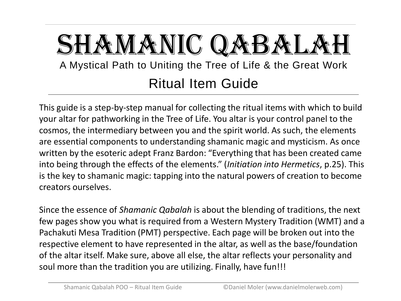# SHAMANIC QABALA A Mystical Path to Uniting the Tree of Life & the Great Work Ritual Item Guide

This guide is a step-by-step manual for collecting the ritual items with which to build your altar for pathworking in the Tree of Life. You altar is your control panel to the cosmos, the intermediary between you and the spirit world. As such, the elements are essential components to understanding shamanic magic and mysticism. As once written by the esoteric adept Franz Bardon: "Everything that has been created came into being through the effects of the elements." (*Initiation into Hermetics*, p.25). This is the key to shamanic magic: tapping into the natural powers of creation to become creators ourselves.

Since the essence of *Shamanic Qabalah* is about the blending of traditions, the next few pages show you what is required from a Western Mystery Tradition (WMT) and a Pachakuti Mesa Tradition (PMT) perspective. Each page will be broken out into the respective element to have represented in the altar, as well as the base/foundation of the altar itself. Make sure, above all else, the altar reflects your personality and soul more than the tradition you are utilizing. Finally, have fun!!!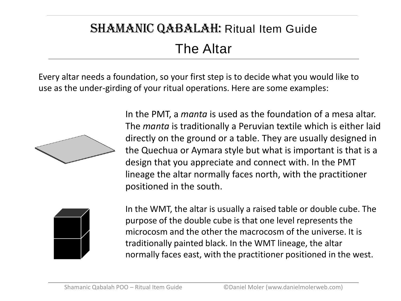#### SHAMANIC QABALAH: Ritual Item Guide The Altar

Every altar needs a foundation, so your first step is to decide what you would like to use as the under-girding of your ritual operations. Here are some examples:



In the PMT, a *manta* is used as the foundation of a mesa altar. The *manta* is traditionally a Peruvian textile which is either laid directly on the ground or a table. They are usually designed in the Quechua or Aymara style but what is important is that is a design that you appreciate and connect with. In the PMT lineage the altar normally faces north, with the practitioner positioned in the south.



In the WMT, the altar is usually a raised table or double cube. The purpose of the double cube is that one level represents the microcosm and the other the macrocosm of the universe. It is traditionally painted black. In the WMT lineage, the altar normally faces east, with the practitioner positioned in the west.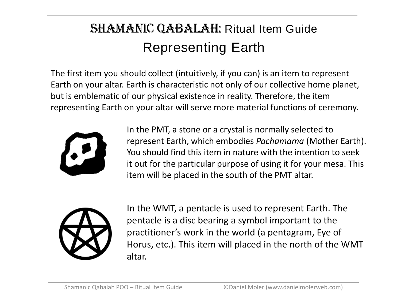### SHAMANIC QABALAH: Ritual Item Guide Representing Earth

The first item you should collect (intuitively, if you can) is an item to represent Earth on your altar. Earth is characteristic not only of our collective home planet, but is emblematic of our physical existence in reality. Therefore, the item representing Earth on your altar will serve more material functions of ceremony.



In the PMT, a stone or a crystal is normally selected to represent Earth, which embodies *Pachamama* (Mother Earth). You should find this item in nature with the intention to seek it out for the particular purpose of using it for your mesa. This item will be placed in the south of the PMT altar.



In the WMT, a pentacle is used to represent Earth. The pentacle is a disc bearing a symbol important to the practitioner's work in the world (a pentagram, Eye of Horus, etc.). This item will placed in the north of the WMT altar.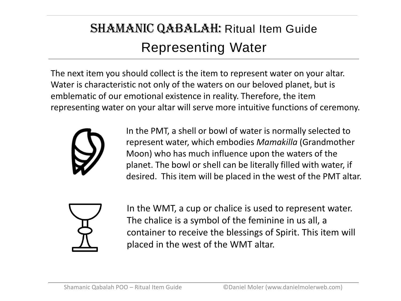### SHAMANIC QABALAH: Ritual Item Guide Representing Water

The next item you should collect is the item to represent water on your altar. Water is characteristic not only of the waters on our beloved planet, but is emblematic of our emotional existence in reality. Therefore, the item representing water on your altar will serve more intuitive functions of ceremony.



In the PMT, a shell or bowl of water is normally selected to represent water, which embodies *Mamakilla* (Grandmother Moon) who has much influence upon the waters of the planet. The bowl or shell can be literally filled with water, if desired. This item will be placed in the west of the PMT altar.



In the WMT, a cup or chalice is used to represent water. The chalice is a symbol of the feminine in us all, a container to receive the blessings of Spirit. This item will placed in the west of the WMT altar.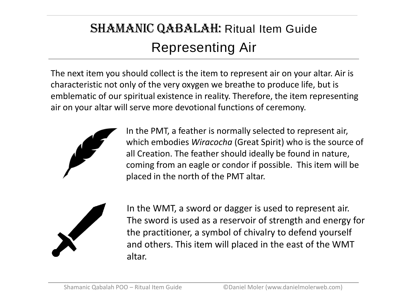### SHAMANIC QABALAH: Ritual Item Guide Representing Air

The next item you should collect is the item to represent air on your altar. Air is characteristic not only of the very oxygen we breathe to produce life, but is emblematic of our spiritual existence in reality. Therefore, the item representing air on your altar will serve more devotional functions of ceremony.



In the PMT, a feather is normally selected to represent air, which embodies *Wiracocha* (Great Spirit) who is the source of all Creation. The feather should ideally be found in nature, coming from an eagle or condor if possible. This item will be placed in the north of the PMT altar.



In the WMT, a sword or dagger is used to represent air. The sword is used as a reservoir of strength and energy for the practitioner, a symbol of chivalry to defend yourself and others. This item will placed in the east of the WMT altar.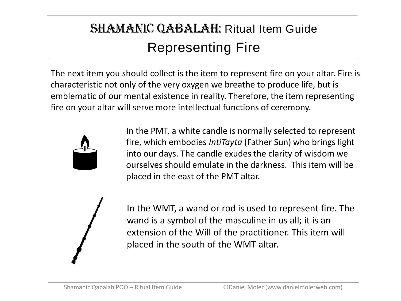### SHAMANIC QABALAH: Ritual Item Guide Representing Fire

The next item you should collect is the item to represent fire on your altar. Fire is characteristic not only of the very oxygen we breathe to produce life, but is emblematic of our mental existence in reality. Therefore, the item representing fire on your altar will serve more intellectual functions of ceremony.



In the PMT, a white candle is normally selected to represent fire, which embodies *IntiTayta* (Father Sun) who brings light into our days. The candle exudes the clarity of wisdom we ourselves should emulate in the darkness. This item will be placed in the east of the PMT altar.



In the WMT, a wand or rod is used to represent fire. The wand is a symbol of the masculine in us all; it is an extension of the Will of the practitioner. This item will placed in the south of the WMT altar.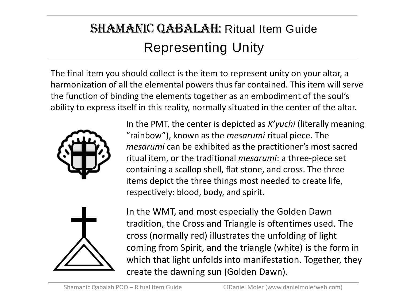## SHAMANIC QABALAH: Ritual Item Guide Representing Unity

The final item you should collect is the item to represent unity on your altar, a harmonization of all the elemental powers thus far contained. This item will serve the function of binding the elements together as an embodiment of the soul's ability to express itself in this reality, normally situated in the center of the altar.



In the PMT, the center is depicted as *K'yuchi* (literally meaning "rainbow"), known as the *mesarumi* ritual piece. The *mesarumi* can be exhibited as the practitioner's most sacred ritual item, or the traditional *mesarumi*: a three-piece set containing a scallop shell, flat stone, and cross. The three items depict the three things most needed to create life, respectively: blood, body, and spirit.



In the WMT, and most especially the Golden Dawn tradition, the Cross and Triangle is oftentimes used. The cross (normally red) illustrates the unfolding of light coming from Spirit, and the triangle (white) is the form in which that light unfolds into manifestation. Together, they create the dawning sun (Golden Dawn).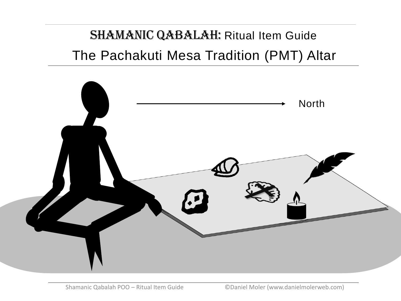SHAMANIC QABALAH: Ritual Item Guide The Pachakuti Mesa Tradition (PMT) Altar